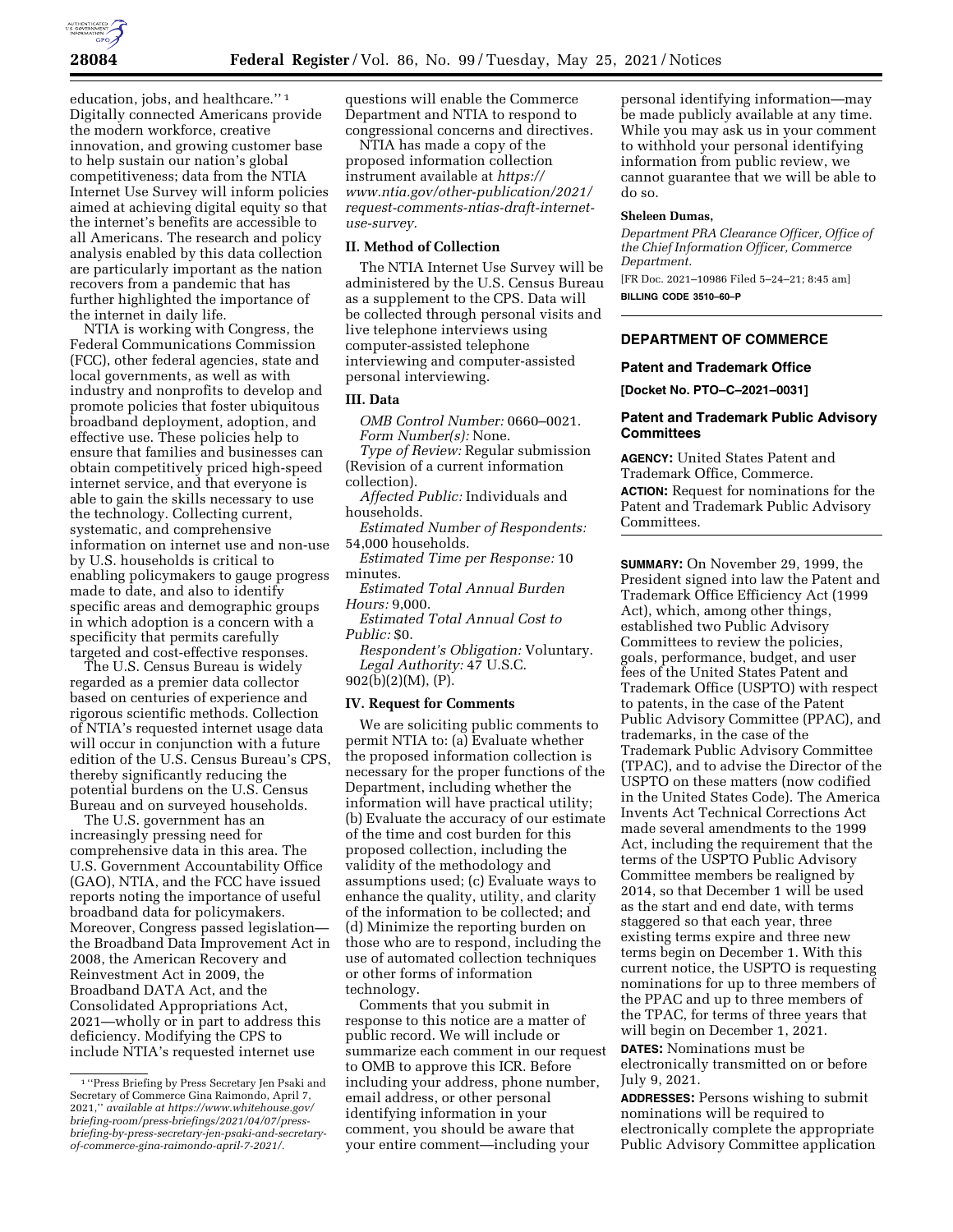

education, jobs, and healthcare.'' 1 Digitally connected Americans provide the modern workforce, creative innovation, and growing customer base to help sustain our nation's global competitiveness; data from the NTIA Internet Use Survey will inform policies aimed at achieving digital equity so that the internet's benefits are accessible to all Americans. The research and policy analysis enabled by this data collection are particularly important as the nation recovers from a pandemic that has further highlighted the importance of the internet in daily life.

NTIA is working with Congress, the Federal Communications Commission (FCC), other federal agencies, state and local governments, as well as with industry and nonprofits to develop and promote policies that foster ubiquitous broadband deployment, adoption, and effective use. These policies help to ensure that families and businesses can obtain competitively priced high-speed internet service, and that everyone is able to gain the skills necessary to use the technology. Collecting current, systematic, and comprehensive information on internet use and non-use by U.S. households is critical to enabling policymakers to gauge progress made to date, and also to identify specific areas and demographic groups in which adoption is a concern with a specificity that permits carefully targeted and cost-effective responses.

The U.S. Census Bureau is widely regarded as a premier data collector based on centuries of experience and rigorous scientific methods. Collection of NTIA's requested internet usage data will occur in conjunction with a future edition of the U.S. Census Bureau's CPS, thereby significantly reducing the potential burdens on the U.S. Census Bureau and on surveyed households.

The U.S. government has an increasingly pressing need for comprehensive data in this area. The U.S. Government Accountability Office (GAO), NTIA, and the FCC have issued reports noting the importance of useful broadband data for policymakers. Moreover, Congress passed legislation the Broadband Data Improvement Act in 2008, the American Recovery and Reinvestment Act in 2009, the Broadband DATA Act, and the Consolidated Appropriations Act, 2021—wholly or in part to address this deficiency. Modifying the CPS to include NTIA's requested internet use

questions will enable the Commerce Department and NTIA to respond to congressional concerns and directives.

NTIA has made a copy of the proposed information collection instrument available at *[https://](https://www.ntia.gov/other-publication/2021/request-comments-ntias-draft-internet-use-survey) [www.ntia.gov/other-publication/2021/](https://www.ntia.gov/other-publication/2021/request-comments-ntias-draft-internet-use-survey)  [request-comments-ntias-draft-internet](https://www.ntia.gov/other-publication/2021/request-comments-ntias-draft-internet-use-survey)[use-survey.](https://www.ntia.gov/other-publication/2021/request-comments-ntias-draft-internet-use-survey)* 

# **II. Method of Collection**

The NTIA Internet Use Survey will be administered by the U.S. Census Bureau as a supplement to the CPS. Data will be collected through personal visits and live telephone interviews using computer-assisted telephone interviewing and computer-assisted personal interviewing.

### **III. Data**

*OMB Control Number:* 0660–0021. *Form Number(s):* None.

*Type of Review:* Regular submission (Revision of a current information collection).

*Affected Public:* Individuals and households.

*Estimated Number of Respondents:*  54,000 households.

*Estimated Time per Response:* 10 minutes.

*Estimated Total Annual Burden Hours:* 9,000.

*Estimated Total Annual Cost to Public:* \$0.

*Respondent's Obligation:* Voluntary. *Legal Authority:* 47 U.S.C. 902(b)(2)(M), (P).

### **IV. Request for Comments**

We are soliciting public comments to permit NTIA to: (a) Evaluate whether the proposed information collection is necessary for the proper functions of the Department, including whether the information will have practical utility; (b) Evaluate the accuracy of our estimate of the time and cost burden for this proposed collection, including the validity of the methodology and assumptions used; (c) Evaluate ways to enhance the quality, utility, and clarity of the information to be collected; and (d) Minimize the reporting burden on those who are to respond, including the use of automated collection techniques or other forms of information technology.

Comments that you submit in response to this notice are a matter of public record. We will include or summarize each comment in our request to OMB to approve this ICR. Before including your address, phone number, email address, or other personal identifying information in your comment, you should be aware that your entire comment—including your

personal identifying information—may be made publicly available at any time. While you may ask us in your comment to withhold your personal identifying information from public review, we cannot guarantee that we will be able to do so.

### **Sheleen Dumas,**

*Department PRA Clearance Officer, Office of the Chief Information Officer, Commerce Department.* 

[FR Doc. 2021–10986 Filed 5–24–21; 8:45 am] **BILLING CODE 3510–60–P** 

### **DEPARTMENT OF COMMERCE**

#### **Patent and Trademark Office**

**[Docket No. PTO–C–2021–0031]** 

# **Patent and Trademark Public Advisory Committees**

**AGENCY:** United States Patent and Trademark Office, Commerce. **ACTION:** Request for nominations for the Patent and Trademark Public Advisory Committees.

**SUMMARY:** On November 29, 1999, the President signed into law the Patent and Trademark Office Efficiency Act (1999 Act), which, among other things, established two Public Advisory Committees to review the policies, goals, performance, budget, and user fees of the United States Patent and Trademark Office (USPTO) with respect to patents, in the case of the Patent Public Advisory Committee (PPAC), and trademarks, in the case of the Trademark Public Advisory Committee (TPAC), and to advise the Director of the USPTO on these matters (now codified in the United States Code). The America Invents Act Technical Corrections Act made several amendments to the 1999 Act, including the requirement that the terms of the USPTO Public Advisory Committee members be realigned by 2014, so that December 1 will be used as the start and end date, with terms staggered so that each year, three existing terms expire and three new terms begin on December 1. With this current notice, the USPTO is requesting nominations for up to three members of the PPAC and up to three members of the TPAC, for terms of three years that will begin on December 1, 2021.

**DATES:** Nominations must be electronically transmitted on or before July 9, 2021.

**ADDRESSES:** Persons wishing to submit nominations will be required to electronically complete the appropriate Public Advisory Committee application

<sup>1</sup> ''Press Briefing by Press Secretary Jen Psaki and Secretary of Commerce Gina Raimondo, April 7, 2021,'' *available a[t https://www.whitehouse.gov/](https://www.whitehouse.gov/briefing-room/press-briefings/2021/04/07/press-briefing-by-press-secretary-jen-psaki-and-secretary-of-commerce-gina-raimondo-april-7-2021/)  [briefing-room/press-briefings/2021/04/07/press](https://www.whitehouse.gov/briefing-room/press-briefings/2021/04/07/press-briefing-by-press-secretary-jen-psaki-and-secretary-of-commerce-gina-raimondo-april-7-2021/)[briefing-by-press-secretary-jen-psaki-and-secretary](https://www.whitehouse.gov/briefing-room/press-briefings/2021/04/07/press-briefing-by-press-secretary-jen-psaki-and-secretary-of-commerce-gina-raimondo-april-7-2021/)[of-commerce-gina-raimondo-april-7-2021/.](https://www.whitehouse.gov/briefing-room/press-briefings/2021/04/07/press-briefing-by-press-secretary-jen-psaki-and-secretary-of-commerce-gina-raimondo-april-7-2021/)*